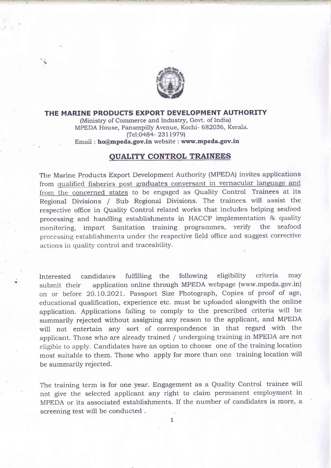

## THE MARINE PRODUCTS EXPORT DEVELOPMENT AUTHORITY

(Ministry of Commerce and Industry, Govt. of India) MPEDA House, Panampilly Avenue, Kochi- 682036, Kerala. (Tel:0484- 23I19791

Email : ho@mpeda.gov.in website : www.mpeda.gov.in

## QUALITY CONTROL TRAINEES

The Marine Products Export Development Authority (MPEDA) invites applications from qualified fisheries post graduates conversant in vernacular language and from the concerned states to be engaged as Quality Control Trainees at its Regional Divisions / Sub Regional Divisions. The trainees will assist the respective office in Quality Control related works that includes helping seafood processing and handling establishments in HACCP implementation & quality monitoring, impart Sanitation training programmes, verify the seafood processing establishments under the respective field office and suggest corrective actions in quality control and traceability.

Interested candidates fulfilling the following eligibility criteria may submit their application online through MPEDA webpage (www.mpeda.gov.in) on or before 2O.LO.2O2I. Passport Size Photograph, Copies of proof of age, educational qualifrcation, experience etc. must be uploaded alongwith the online application. Applications failing to comply to the prescribed criteria will be summarily rejected without assigning any reason to the applicant, and MPEDA will not entertain any sort of correspondence in that regard with the applicant. Those who are already trained / undergoing training in MPEDA are not eligible to appty. Candidates have an option to choose one of the training location most suitable to them. Those who apply for more than one training location will be summarily rejected.

The training term is for one year. Engagement as a Quality Control trainee will not give the selected applicant any right to claim permanent employment in MPEDA or its associated establishments. If the number of candidates is more, a screening test will be conducted .

1